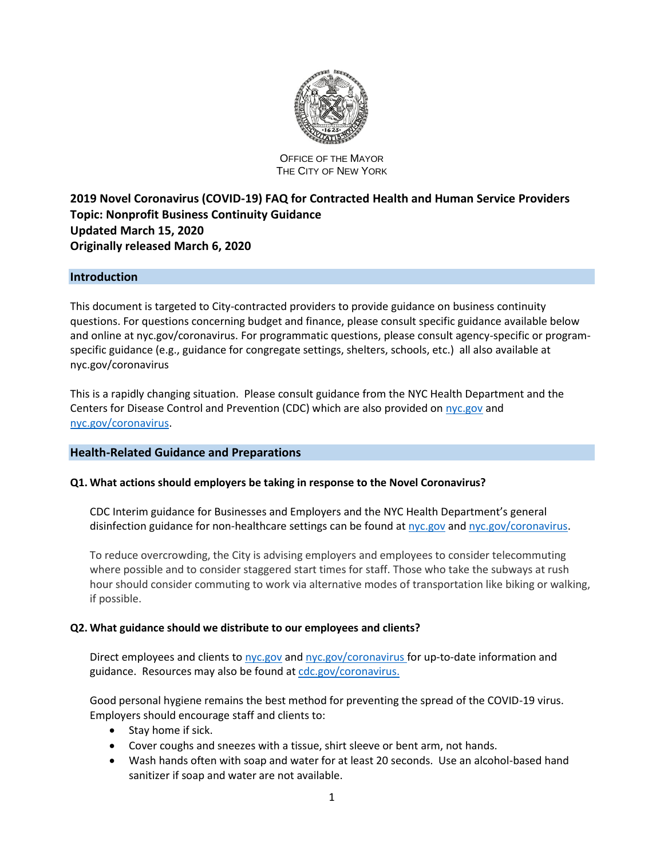

#### OFFICE OF THE MAYOR THE CITY OF NEW YORK

# **2019 Novel Coronavirus (COVID-19) FAQ for Contracted Health and Human Service Providers Topic: Nonprofit Business Continuity Guidance Updated March 15, 2020 Originally released March 6, 2020**

# **Introduction**

This document is targeted to City-contracted providers to provide guidance on business continuity questions. For questions concerning budget and finance, please consult specific guidance available below and online at nyc.gov/coronavirus. For programmatic questions, please consult agency-specific or programspecific guidance (e.g., guidance for congregate settings, shelters, schools, etc.) all also available at nyc.gov/coronavirus

This is a rapidly changing situation. Please consult guidance from the NYC Health Department and the Centers for Disease Control and Prevention (CDC) which are also provided on [nyc.gov](https://www.nyc.gov/) and [nyc.gov/coronavirus.](https://www1.nyc.gov/site/doh/health/health-topics/coronavirus.page)

### **Health-Related Guidance and Preparations**

### **Q1. What actions should employers be taking in response to the Novel Coronavirus?**

CDC Interim guidance for Businesses and Employers and the NYC Health Department's general disinfection guidance for non-healthcare settings can be found a[t nyc.gov](file:///C:/Users/jennifer.geiling/AppData/Local/Microsoft/Windows/INetCache/Content.Outlook/D8STGCOI/nyc.gov) an[d nyc.gov/coronavirus.](file:///C:/Users/jennifer.geiling/AppData/Local/Microsoft/Windows/INetCache/Content.Outlook/D8STGCOI/nyc.gov/health/coronavirus)

To reduce overcrowding, the City is advising employers and employees to consider telecommuting where possible and to consider staggered start times for staff. Those who take the subways at rush hour should consider commuting to work via alternative modes of transportation like biking or walking, if possible.

#### **Q2. What guidance should we distribute to our employees and clients?**

Direct employees and clients to [nyc.gov](file:///C:/Users/jennifer.geiling/AppData/Local/Microsoft/Windows/INetCache/Content.Outlook/D8STGCOI/nyc.gov) and [nyc.gov/coronavirus](https://www1.nyc.gov/site/doh/health/health-topics/coronavirus.page) for up-to-date information and guidance. Resources may also be found at [cdc.gov/coronavirus.](https://www.cdc.gov/coronavirus/)

Good personal hygiene remains the best method for preventing the spread of the COVID-19 virus. Employers should encourage staff and clients to:

- Stay home if sick.
- Cover coughs and sneezes with a tissue, shirt sleeve or bent arm, not hands.
- Wash hands often with soap and water for at least 20 seconds. Use an alcohol-based hand sanitizer if soap and water are not available.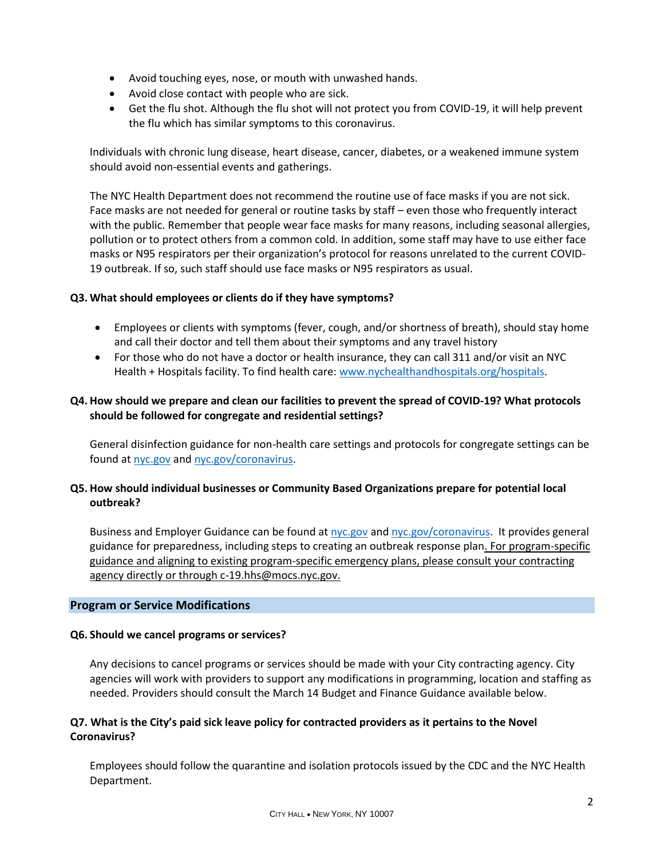- Avoid touching eyes, nose, or mouth with unwashed hands.
- Avoid close contact with people who are sick.
- Get the flu shot. Although the flu shot will not protect you from COVID-19, it will help prevent the flu which has similar symptoms to this coronavirus.

Individuals with chronic lung disease, heart disease, cancer, diabetes, or a weakened immune system should avoid non-essential events and gatherings.

The NYC Health Department does not recommend the routine use of face masks if you are not sick. Face masks are not needed for general or routine tasks by staff – even those who frequently interact with the public. Remember that people wear face masks for many reasons, including seasonal allergies, pollution or to protect others from a common cold. In addition, some staff may have to use either face masks or N95 respirators per their organization's protocol for reasons unrelated to the current COVID-19 outbreak. If so, such staff should use face masks or N95 respirators as usual.

# **Q3. What should employees or clients do if they have symptoms?**

- Employees or clients with symptoms (fever, cough, and/or shortness of breath), should stay home and call their doctor and tell them about their symptoms and any travel history
- For those who do not have a doctor or health insurance, they can call 311 and/or visit an NYC Health + Hospitals facility. To find health care: [www.nychealthandhospitals.org/hospitals.](https://gcc02.safelinks.protection.outlook.com/?url=http%3A%2F%2Fwww.nychealthandhospitals.org%2Fhospitals&data=02%7C01%7CRecksonM%40omb.nyc.gov%7C24ef9e9fef0e46d3dc4508d7c1346803%7C69fa79eee93a4ddfb8d1fbf15f49f820%7C0%7C0%7C637190303619462965&sdata=FhBfI3X%2Btc7Kfd3Ba3sL5aVo8Jsq5%2FRfu6pstWFGWbw%3D&reserved=0)

# **Q4. How should we prepare and clean our facilities to prevent the spread of COVID-19? What protocols should be followed for congregate and residential settings?**

General disinfection guidance for non-health care settings and protocols for congregate settings can be found at [nyc.gov](file:///C:/Users/jennifer.geiling/AppData/Local/Microsoft/Windows/INetCache/Content.Outlook/D8STGCOI/nyc.gov) and [nyc.gov/coronavirus.](https://www1.nyc.gov/site/doh/health/health-topics/coronavirus.page)

# **Q5. How should individual businesses or Community Based Organizations prepare for potential local outbreak?**

Business and Employer Guidance can be found at [nyc.gov](file:///C:/Users/jennifer.geiling/AppData/Local/Microsoft/Windows/INetCache/Content.Outlook/D8STGCOI/nyc.gov) and [nyc.gov/coronavirus.](https://www1.nyc.gov/site/doh/health/health-topics/coronavirus.page) It provides general guidance for preparedness, including steps to creating an outbreak response plan. For program-specific guidance and aligning to existing program-specific emergency plans, please consult your contracting agency directly or through c-19.hhs@mocs.nyc.gov.

### **Program or Service Modifications**

### **Q6. Should we cancel programs or services?**

Any decisions to cancel programs or services should be made with your City contracting agency. City agencies will work with providers to support any modifications in programming, location and staffing as needed. Providers should consult the March 14 Budget and Finance Guidance available below.

# **Q7. What is the City's paid sick leave policy for contracted providers as it pertains to the Novel Coronavirus?**

Employees should follow the quarantine and isolation protocols issued by the CDC and the NYC Health Department.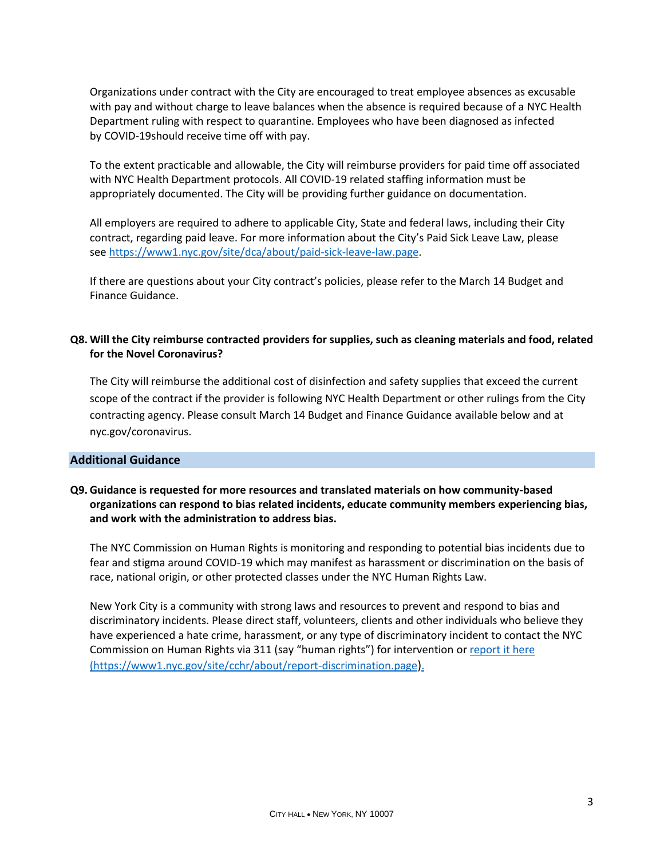Organizations under contract with the City are encouraged to treat employee absences as excusable with pay and without charge to leave balances when the absence is required because of a NYC Health Department ruling with respect to quarantine. Employees who have been diagnosed as infected by COVID-19should receive time off with pay.

To the extent practicable and allowable, the City will reimburse providers for paid time off associated with NYC Health Department protocols. All COVID-19 related staffing information must be appropriately documented. The City will be providing further guidance on documentation.

All employers are required to adhere to applicable City, State and federal laws, including their City contract, regarding paid leave. For more information about the City's Paid Sick Leave Law, please see [https://www1.nyc.gov/site/dca/about/paid-sick-leave-law.page.](https://www1.nyc.gov/site/dca/about/paid-sick-leave-law.page)

If there are questions about your City contract's policies, please refer to the March 14 Budget and Finance Guidance.

# **Q8. Will the City reimburse contracted providers for supplies, such as cleaning materials and food, related for the Novel Coronavirus?**

The City will reimburse the additional cost of disinfection and safety supplies that exceed the current scope of the contract if the provider is following NYC Health Department or other rulings from the City contracting agency. Please consult March 14 Budget and Finance Guidance available below and at nyc.gov/coronavirus.

### **Additional Guidance**

## **Q9. Guidance is requested for more resources and translated materials on how community-based organizations can respond to bias related incidents, educate community members experiencing bias, and work with the administration to address bias.**

The NYC Commission on Human Rights is monitoring and responding to potential bias incidents due to fear and stigma around COVID-19 which may manifest as harassment or discrimination on the basis of race, national origin, or other protected classes under the NYC Human Rights Law.

New York City is a community with strong laws and resources to prevent and respond to bias and discriminatory incidents. Please direct staff, volunteers, clients and other individuals who believe they have experienced a hate crime, harassment, or any type of discriminatory incident to contact the NYC Commission on Human Rights via 311 (say "human rights") for intervention or [report it here](https://www1.nyc.gov/site/cchr/about/report-discrimination.page) [\(https://www1.nyc.gov/site/cchr/about/report-discrimination.page](https://www1.nyc.gov/site/cchr/about/report-discrimination.page)).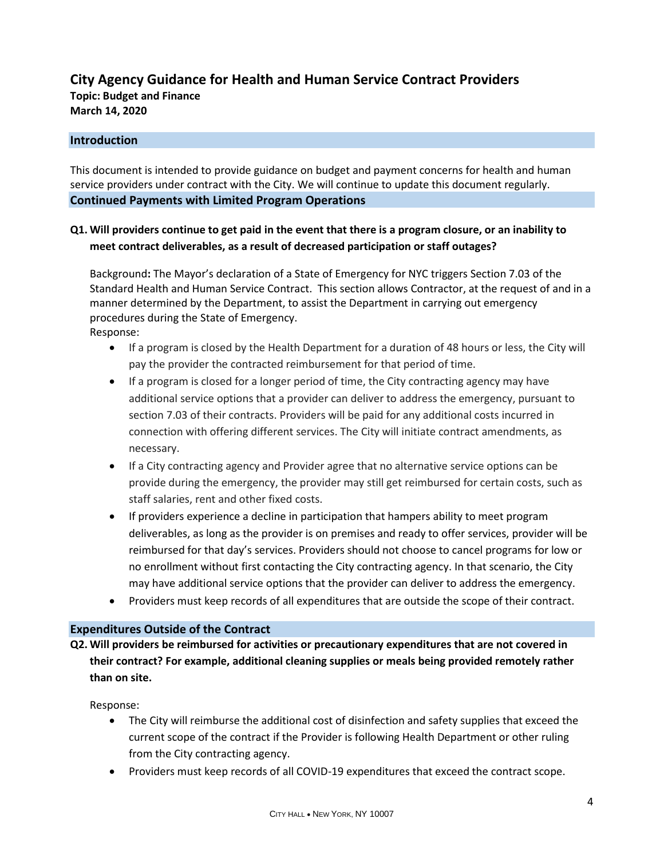# **City Agency Guidance for Health and Human Service Contract Providers**

**Topic: Budget and Finance March 14, 2020**

# **Introduction**

This document is intended to provide guidance on budget and payment concerns for health and human service providers under contract with the City. We will continue to update this document regularly. **Continued Payments with Limited Program Operations**

# **Q1. Will providers continue to get paid in the event that there is a program closure, or an inability to meet contract deliverables, as a result of decreased participation or staff outages?**

Background**:** The Mayor's declaration of a State of Emergency for NYC triggers Section 7.03 of the Standard Health and Human Service Contract. This section allows Contractor, at the request of and in a manner determined by the Department, to assist the Department in carrying out emergency procedures during the State of Emergency. Response:

- If a program is closed by the Health Department for a duration of 48 hours or less, the City will pay the provider the contracted reimbursement for that period of time.
- If a program is closed for a longer period of time, the City contracting agency may have additional service options that a provider can deliver to address the emergency, pursuant to section 7.03 of their contracts. Providers will be paid for any additional costs incurred in connection with offering different services. The City will initiate contract amendments, as necessary.
- If a City contracting agency and Provider agree that no alternative service options can be provide during the emergency, the provider may still get reimbursed for certain costs, such as staff salaries, rent and other fixed costs.
- If providers experience a decline in participation that hampers ability to meet program deliverables, as long as the provider is on premises and ready to offer services, provider will be reimbursed for that day's services. Providers should not choose to cancel programs for low or no enrollment without first contacting the City contracting agency. In that scenario, the City may have additional service options that the provider can deliver to address the emergency.
- Providers must keep records of all expenditures that are outside the scope of their contract.

### **Expenditures Outside of the Contract**

**Q2. Will providers be reimbursed for activities or precautionary expenditures that are not covered in their contract? For example, additional cleaning supplies or meals being provided remotely rather than on site.**

Response:

- The City will reimburse the additional cost of disinfection and safety supplies that exceed the current scope of the contract if the Provider is following Health Department or other ruling from the City contracting agency.
- Providers must keep records of all COVID-19 expenditures that exceed the contract scope.